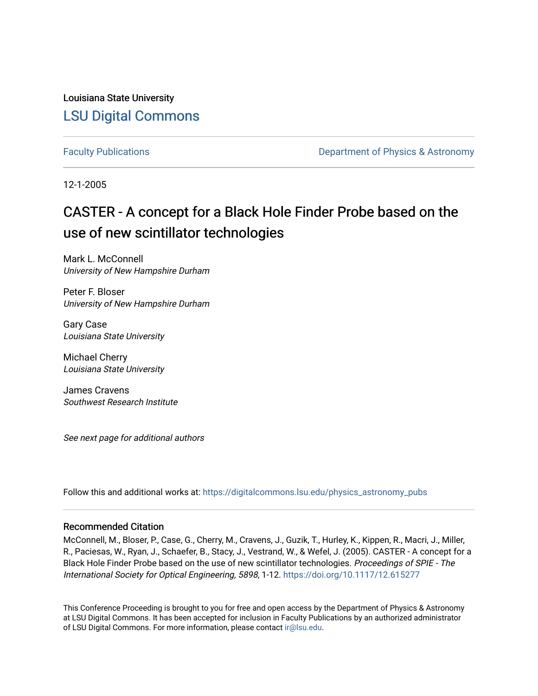Louisiana State University [LSU Digital Commons](https://digitalcommons.lsu.edu/)

[Faculty Publications](https://digitalcommons.lsu.edu/physics_astronomy_pubs) **Exercise 2 and Table 2 and Table 2 and Table 2 and Table 2 and Table 2 and Table 2 and Table 2 and Table 2 and Table 2 and Table 2 and Table 2 and Table 2 and Table 2 and Table 2 and Table 2 and Table** 

12-1-2005

# CASTER - A concept for a Black Hole Finder Probe based on the use of new scintillator technologies

Mark L. McConnell University of New Hampshire Durham

Peter F. Bloser University of New Hampshire Durham

Gary Case Louisiana State University

Michael Cherry Louisiana State University

James Cravens Southwest Research Institute

See next page for additional authors

Follow this and additional works at: [https://digitalcommons.lsu.edu/physics\\_astronomy\\_pubs](https://digitalcommons.lsu.edu/physics_astronomy_pubs?utm_source=digitalcommons.lsu.edu%2Fphysics_astronomy_pubs%2F709&utm_medium=PDF&utm_campaign=PDFCoverPages) 

### Recommended Citation

McConnell, M., Bloser, P., Case, G., Cherry, M., Cravens, J., Guzik, T., Hurley, K., Kippen, R., Macri, J., Miller, R., Paciesas, W., Ryan, J., Schaefer, B., Stacy, J., Vestrand, W., & Wefel, J. (2005). CASTER - A concept for a Black Hole Finder Probe based on the use of new scintillator technologies. Proceedings of SPIE - The International Society for Optical Engineering, 5898, 1-12. <https://doi.org/10.1117/12.615277>

This Conference Proceeding is brought to you for free and open access by the Department of Physics & Astronomy at LSU Digital Commons. It has been accepted for inclusion in Faculty Publications by an authorized administrator of LSU Digital Commons. For more information, please contact [ir@lsu.edu](mailto:ir@lsu.edu).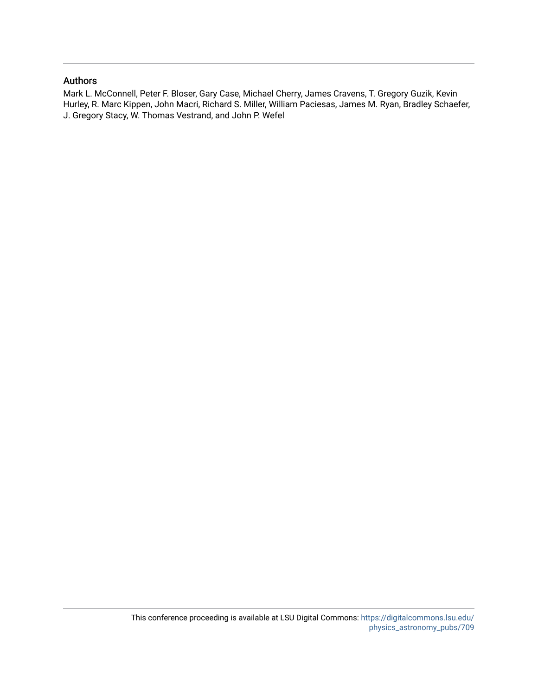## Authors

Mark L. McConnell, Peter F. Bloser, Gary Case, Michael Cherry, James Cravens, T. Gregory Guzik, Kevin Hurley, R. Marc Kippen, John Macri, Richard S. Miller, William Paciesas, James M. Ryan, Bradley Schaefer, J. Gregory Stacy, W. Thomas Vestrand, and John P. Wefel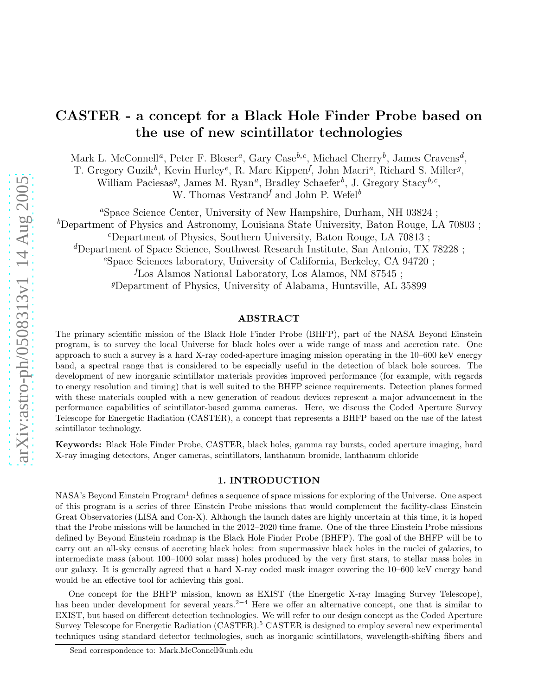# CASTER - a concept for a Black Hole Finder Probe based on the use of new scintillator technologies

Mark L. McConnell<sup>a</sup>, Peter F. Bloser<sup>a</sup>, Gary Case<sup>b,c</sup>, Michael Cherry<sup>b</sup>, James Cravens<sup>d</sup>,

T. Gregory Guzik<sup>b</sup>, Kevin Hurley<sup>e</sup>, R. Marc Kippen<sup>f</sup>, John Macri<sup>a</sup>, Richard S. Miller<sup>g</sup>,

William Paciesas<sup>g</sup>, James M. Ryan<sup>a</sup>, Bradley Schaefer<sup>b</sup>, J. Gregory Stacy<sup>b,c</sup>,

W. Thomas Vestrand<sup>f</sup> and John P. Wefel<sup>b</sup>

<sup>a</sup>Space Science Center, University of New Hampshire, Durham, NH 03824 ;

 $b$ Department of Physics and Astronomy, Louisiana State University, Baton Rouge, LA 70803;

 $c$ Department of Physics, Southern University, Baton Rouge, LA 70813;

<sup>d</sup>Department of Space Science, Southwest Research Institute, San Antonio, TX 78228 ;

 ${}^{e}$ Space Sciences laboratory, University of California, Berkeley, CA 94720;

<sup>f</sup>Los Alamos National Laboratory, Los Alamos, NM 87545 ;

<sup>g</sup>Department of Physics, University of Alabama, Huntsville, AL 35899

#### ABSTRACT

The primary scientific mission of the Black Hole Finder Probe (BHFP), part of the NASA Beyond Einstein program, is to survey the local Universe for black holes over a wide range of mass and accretion rate. One approach to such a survey is a hard X-ray coded-aperture imaging mission operating in the 10–600 keV energy band, a spectral range that is considered to be especially useful in the detection of black hole sources. The development of new inorganic scintillator materials provides improved performance (for example, with regards to energy resolution and timing) that is well suited to the BHFP science requirements. Detection planes formed with these materials coupled with a new generation of readout devices represent a major advancement in the performance capabilities of scintillator-based gamma cameras. Here, we discuss the Coded Aperture Survey Telescope for Energetic Radiation (CASTER), a concept that represents a BHFP based on the use of the latest scintillator technology.

Keywords: Black Hole Finder Probe, CASTER, black holes, gamma ray bursts, coded aperture imaging, hard X-ray imaging detectors, Anger cameras, scintillators, lanthanum bromide, lanthanum chloride

#### 1. INTRODUCTION

NASA's Beyond Einstein Program<sup>1</sup> defines a sequence of space missions for exploring of the Universe. One aspect of this program is a series of three Einstein Probe missions that would complement the facility-class Einstein Great Observatories (LISA and Con-X). Although the launch dates are highly uncertain at this time, it is hoped that the Probe missions will be launched in the 2012–2020 time frame. One of the three Einstein Probe missions defined by Beyond Einstein roadmap is the Black Hole Finder Probe (BHFP). The goal of the BHFP will be to carry out an all-sky census of accreting black holes: from supermassive black holes in the nuclei of galaxies, to intermediate mass (about 100–1000 solar mass) holes produced by the very first stars, to stellar mass holes in our galaxy. It is generally agreed that a hard X-ray coded mask imager covering the 10–600 keV energy band would be an effective tool for achieving this goal.

One concept for the BHFP mission, known as EXIST (the Energetic X-ray Imaging Survey Telescope), has been under development for several years.<sup>2−4</sup> Here we offer an alternative concept, one that is similar to EXIST, but based on different detection technologies. We will refer to our design concept as the Coded Aperture Survey Telescope for Energetic Radiation (CASTER).<sup>5</sup> CASTER is designed to employ several new experimental techniques using standard detector technologies, such as inorganic scintillators, wavelength-shifting fibers and

Send correspondence to: Mark.McConnell@unh.edu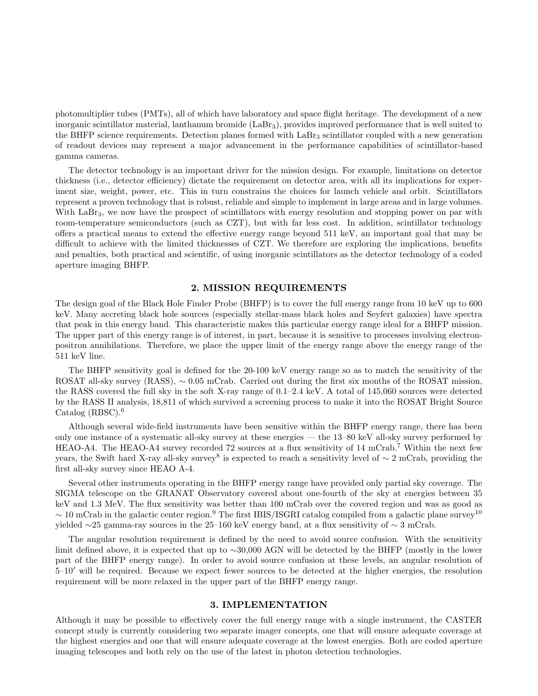photomultiplier tubes (PMTs), all of which have laboratory and space flight heritage. The development of a new inorganic scintillator material, lanthanum bromide (LaBr3), provides improved performance that is well suited to the BHFP science requirements. Detection planes formed with  $LaBr<sub>3</sub>$  scintillator coupled with a new generation of readout devices may represent a major advancement in the performance capabilities of scintillator-based gamma cameras.

The detector technology is an important driver for the mission design. For example, limitations on detector thickness (i.e., detector efficiency) dictate the requirement on detector area, with all its implications for experiment size, weight, power, etc. This in turn constrains the choices for launch vehicle and orbit. Scintillators represent a proven technology that is robust, reliable and simple to implement in large areas and in large volumes. With  $LaBr<sub>3</sub>$ , we now have the prospect of scintillators with energy resolution and stopping power on par with room-temperature semiconductors (such as CZT), but with far less cost. In addition, scintillator technology offers a practical means to extend the effective energy range beyond 511 keV, an important goal that may be difficult to achieve with the limited thicknesses of CZT. We therefore are exploring the implications, benefits and penalties, both practical and scientific, of using inorganic scintillators as the detector technology of a coded aperture imaging BHFP.

#### 2. MISSION REQUIREMENTS

The design goal of the Black Hole Finder Probe (BHFP) is to cover the full energy range from 10 keV up to 600 keV. Many accreting black hole sources (especially stellar-mass black holes and Seyfert galaxies) have spectra that peak in this energy band. This characteristic makes this particular energy range ideal for a BHFP mission. The upper part of this energy range is of interest, in part, because it is sensitive to processes involving electronpositron annihilations. Therefore, we place the upper limit of the energy range above the energy range of the 511 keV line.

The BHFP sensitivity goal is defined for the 20-100 keV energy range so as to match the sensitivity of the ROSAT all-sky survey (RASS), ∼ 0.05 mCrab. Carried out during the first six months of the ROSAT mission, the RASS covered the full sky in the soft X-ray range of 0.1–2.4 keV. A total of 145,060 sources were detected by the RASS II analysis, 18,811 of which survived a screening process to make it into the ROSAT Bright Source Catalog (RBSC).<sup>6</sup>

Although several wide-field instruments have been sensitive within the BHFP energy range, there has been only one instance of a systematic all-sky survey at these energies — the 13–80 keV all-sky survey performed by HEAO-A4. The HEAO-A4 survey recorded 72 sources at a flux sensitivity of 14 mCrab.<sup>7</sup> Within the next few years, the Swift hard X-ray all-sky survey<sup>8</sup> is expected to reach a sensitivity level of  $\sim 2$  mCrab, providing the first all-sky survey since HEAO A-4.

Several other instruments operating in the BHFP energy range have provided only partial sky coverage. The SIGMA telescope on the GRANAT Observatory covered about one-fourth of the sky at energies between 35 keV and 1.3 MeV. The flux sensitivity was better than 100 mCrab over the covered region and was as good as  $\sim$  10 mCrab in the galactic center region.<sup>9</sup> The first IBIS/ISGRI catalog compiled from a galactic plane survey<sup>10</sup> yielded  $\sim$ 25 gamma-ray sources in the 25–160 keV energy band, at a flux sensitivity of  $\sim$  3 mCrab.

The angular resolution requirement is defined by the need to avoid source confusion. With the sensitivity limit defined above, it is expected that up to ∼30,000 AGN will be detected by the BHFP (mostly in the lower part of the BHFP energy range). In order to avoid source confusion at these levels, an angular resolution of 5–10′ will be required. Because we expect fewer sources to be detected at the higher energies, the resolution requirement will be more relaxed in the upper part of the BHFP energy range.

#### 3. IMPLEMENTATION

Although it may be possible to effectively cover the full energy range with a single instrument, the CASTER concept study is currently considering two separate imager concepts, one that will ensure adequate coverage at the highest energies and one that will ensure adequate coverage at the lowest energies. Both are coded aperture imaging telescopes and both rely on the use of the latest in photon detection technologies.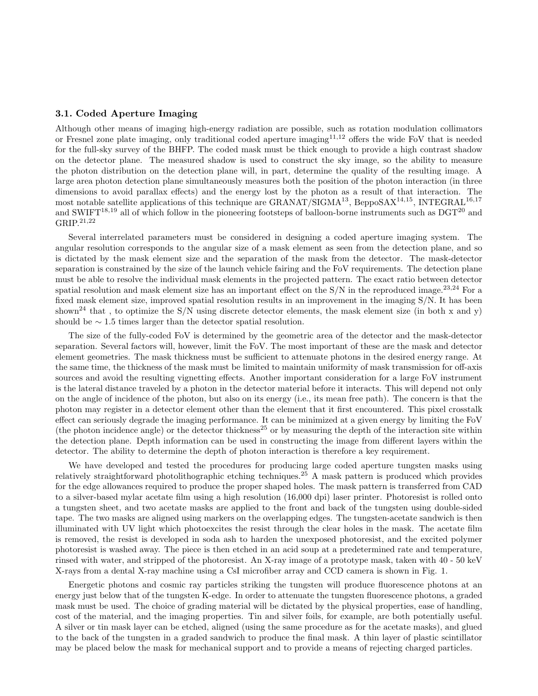#### 3.1. Coded Aperture Imaging

Although other means of imaging high-energy radiation are possible, such as rotation modulation collimators or Fresnel zone plate imaging, only traditional coded aperture imaging<sup>11,12</sup> offers the wide FoV that is needed for the full-sky survey of the BHFP. The coded mask must be thick enough to provide a high contrast shadow on the detector plane. The measured shadow is used to construct the sky image, so the ability to measure the photon distribution on the detection plane will, in part, determine the quality of the resulting image. A large area photon detection plane simultaneously measures both the position of the photon interaction (in three dimensions to avoid parallax effects) and the energy lost by the photon as a result of that interaction. The most notable satellite applications of this technique are  $\text{GRANAT}/\text{SIGMA}^{13}$ , BeppoSA $\text{X}^{14,15}$ , INTEGRAL<sup>16,17</sup> and SWIFT<sup>18,19</sup> all of which follow in the pioneering footsteps of balloon-borne instruments such as  $\text{DGT}^{20}$  and  $GRIP.<sup>21,22</sup>$ 

Several interrelated parameters must be considered in designing a coded aperture imaging system. The angular resolution corresponds to the angular size of a mask element as seen from the detection plane, and so is dictated by the mask element size and the separation of the mask from the detector. The mask-detector separation is constrained by the size of the launch vehicle fairing and the FoV requirements. The detection plane must be able to resolve the individual mask elements in the projected pattern. The exact ratio between detector spatial resolution and mask element size has an important effect on the  $S/N$  in the reproduced image.<sup>23,24</sup> For a fixed mask element size, improved spatial resolution results in an improvement in the imaging S/N. It has been shown<sup>24</sup> that , to optimize the S/N using discrete detector elements, the mask element size (in both x and y) should be  $\sim$  1.5 times larger than the detector spatial resolution.

The size of the fully-coded FoV is determined by the geometric area of the detector and the mask-detector separation. Several factors will, however, limit the FoV. The most important of these are the mask and detector element geometries. The mask thickness must be sufficient to attenuate photons in the desired energy range. At the same time, the thickness of the mask must be limited to maintain uniformity of mask transmission for off-axis sources and avoid the resulting vignetting effects. Another important consideration for a large FoV instrument is the lateral distance traveled by a photon in the detector material before it interacts. This will depend not only on the angle of incidence of the photon, but also on its energy (i.e., its mean free path). The concern is that the photon may register in a detector element other than the element that it first encountered. This pixel crosstalk effect can seriously degrade the imaging performance. It can be minimized at a given energy by limiting the FoV (the photon incidence angle) or the detector thickness<sup>25</sup> or by measuring the depth of the interaction site within the detection plane. Depth information can be used in constructing the image from different layers within the detector. The ability to determine the depth of photon interaction is therefore a key requirement.

We have developed and tested the procedures for producing large coded aperture tungsten masks using relatively straightforward photolithographic etching techniques.<sup>25</sup> A mask pattern is produced which provides for the edge allowances required to produce the proper shaped holes. The mask pattern is transferred from CAD to a silver-based mylar acetate film using a high resolution (16,000 dpi) laser printer. Photoresist is rolled onto a tungsten sheet, and two acetate masks are applied to the front and back of the tungsten using double-sided tape. The two masks are aligned using markers on the overlapping edges. The tungsten-acetate sandwich is then illuminated with UV light which photoexcites the resist through the clear holes in the mask. The acetate film is removed, the resist is developed in soda ash to harden the unexposed photoresist, and the excited polymer photoresist is washed away. The piece is then etched in an acid soup at a predetermined rate and temperature, rinsed with water, and stripped of the photoresist. An X-ray image of a prototype mask, taken with 40 - 50 keV X-rays from a dental X-ray machine using a CsI microfiber array and CCD camera is shown in Fig. 1.

Energetic photons and cosmic ray particles striking the tungsten will produce fluorescence photons at an energy just below that of the tungsten K-edge. In order to attenuate the tungsten fluorescence photons, a graded mask must be used. The choice of grading material will be dictated by the physical properties, ease of handling, cost of the material, and the imaging properties. Tin and silver foils, for example, are both potentially useful. A silver or tin mask layer can be etched, aligned (using the same procedure as for the acetate masks), and glued to the back of the tungsten in a graded sandwich to produce the final mask. A thin layer of plastic scintillator may be placed below the mask for mechanical support and to provide a means of rejecting charged particles.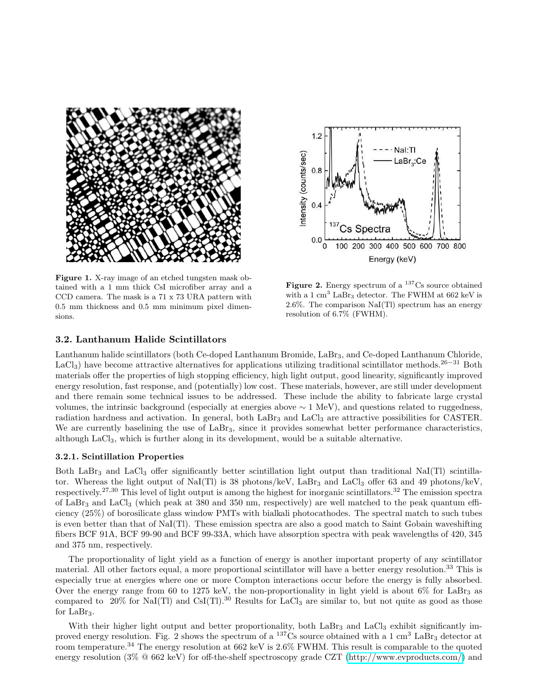



Figure 1. X-ray image of an etched tungsten mask obtained with a 1 mm thick CsI microfiber array and a CCD camera. The mask is a 71 x 73 URA pattern with 0.5 mm thickness and 0.5 mm minimum pixel dimensions.

**Figure 2.** Energy spectrum of a  $^{137}$ Cs source obtained with a 1  $\text{cm}^3$  LaBr<sub>3</sub> detector. The FWHM at 662 keV is 2.6%. The comparison NaI(Tl) spectrum has an energy resolution of 6.7% (FWHM).

#### 3.2. Lanthanum Halide Scintillators

Lanthanum halide scintillators (both Ce-doped Lanthanum Bromide, LaBr<sub>3</sub>, and Ce-doped Lanthanum Chloride, LaCl<sub>3</sub>) have become attractive alternatives for applications utilizing traditional scintillator methods.<sup>26–31</sup> Both materials offer the properties of high stopping efficiency, high light output, good linearity, significantly improved energy resolution, fast response, and (potentially) low cost. These materials, however, are still under development and there remain some technical issues to be addressed. These include the ability to fabricate large crystal volumes, the intrinsic background (especially at energies above ∼ 1 MeV), and questions related to ruggedness, radiation hardness and activation. In general, both LaBr<sub>3</sub> and LaCl<sub>3</sub> are attractive possibilities for CASTER. We are currently baselining the use of LaBr<sub>3</sub>, since it provides somewhat better performance characteristics, although LaCl3, which is further along in its development, would be a suitable alternative.

#### 3.2.1. Scintillation Properties

Both LaBr<sub>3</sub> and LaCl<sub>3</sub> offer significantly better scintillation light output than traditional NaI(Tl) scintillator. Whereas the light output of NaI(Tl) is 38 photons/keV, LaBr<sub>3</sub> and LaCl<sub>3</sub> offer 63 and 49 photons/keV, respectively.27,<sup>30</sup> This level of light output is among the highest for inorganic scintillators.<sup>32</sup> The emission spectra of LaBr<sub>3</sub> and LaCl<sub>3</sub> (which peak at 380 and 350 nm, respectively) are well matched to the peak quantum efficiency (25%) of borosilicate glass window PMTs with bialkali photocathodes. The spectral match to such tubes is even better than that of NaI(Tl). These emission spectra are also a good match to Saint Gobain waveshifting fibers BCF 91A, BCF 99-90 and BCF 99-33A, which have absorption spectra with peak wavelengths of 420, 345 and 375 nm, respectively.

The proportionality of light yield as a function of energy is another important property of any scintillator material. All other factors equal, a more proportional scintillator will have a better energy resolution.<sup>33</sup> This is especially true at energies where one or more Compton interactions occur before the energy is fully absorbed. Over the energy range from 60 to 1275 keV, the non-proportionality in light yield is about 6% for LaBr<sub>3</sub> as compared to 20% for NaI(Tl) and CsI(Tl).<sup>30</sup> Results for LaCl<sub>3</sub> are similar to, but not quite as good as those for LaBr<sub>3</sub>.

With their higher light output and better proportionality, both LaBr<sub>3</sub> and LaCl<sub>3</sub> exhibit significantly improved energy resolution. Fig. 2 shows the spectrum of a <sup>137</sup>Cs source obtained with a 1 cm<sup>3</sup> LaBr<sub>3</sub> detector at room temperature.<sup>34</sup> The energy resolution at 662 keV is  $2.6\%$  FWHM. This result is comparable to the quoted energy resolution (3% @ 662 keV) for off-the-shelf spectroscopy grade CZT [\(http://www.evproducts.com/\)](http://www.evproducts.com/) and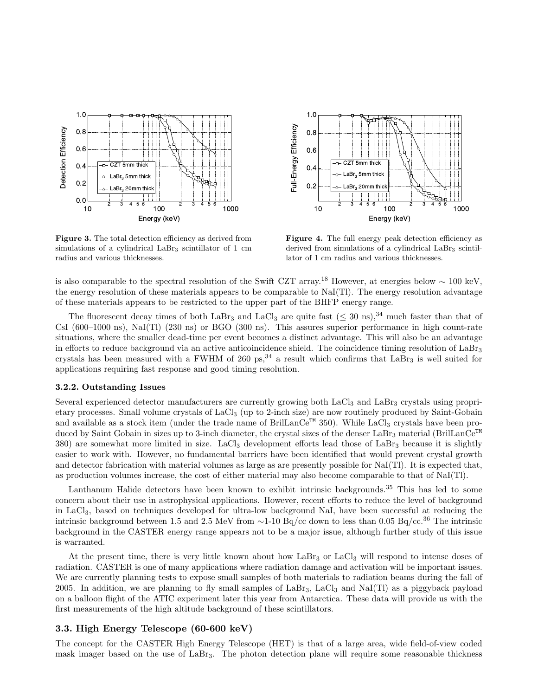

Figure 3. The total detection efficiency as derived from simulations of a cylindrical  $LaBr<sub>3</sub>$  scintillator of 1 cm radius and various thicknesses.



Figure 4. The full energy peak detection efficiency as derived from simulations of a cylindrical  $LaBr<sub>3</sub>$  scintillator of 1 cm radius and various thicknesses.

is also comparable to the spectral resolution of the Swift CZT array.<sup>18</sup> However, at energies below  $\sim 100 \text{ keV}$ , the energy resolution of these materials appears to be comparable to NaI(Tl). The energy resolution advantage of these materials appears to be restricted to the upper part of the BHFP energy range.

The fluorescent decay times of both LaBr<sub>3</sub> and LaCl<sub>3</sub> are quite fast ( $\leq 30 \text{ ns}$ ),<sup>34</sup> much faster than that of CsI  $(600-1000 \text{ ns})$ , NaI(Tl)  $(230 \text{ ns})$  or BGO  $(300 \text{ ns})$ . This assures superior performance in high count-rate situations, where the smaller dead-time per event becomes a distinct advantage. This will also be an advantage in efforts to reduce background via an active anticoincidence shield. The coincidence timing resolution of  $LaBr<sub>3</sub>$ crystals has been measured with a FWHM of 260 ps,<sup>34</sup> a result which confirms that LaBr<sub>3</sub> is well suited for applications requiring fast response and good timing resolution.

#### 3.2.2. Outstanding Issues

Several experienced detector manufacturers are currently growing both LaCl<sub>3</sub> and LaBr<sub>3</sub> crystals using proprietary processes. Small volume crystals of LaCl<sup>3</sup> (up to 2-inch size) are now routinely produced by Saint-Gobain and available as a stock item (under the trade name of BrilLanCe<sup>TM</sup> 350). While LaCl<sub>3</sub> crystals have been produced by Saint Gobain in sizes up to 3-inch diameter, the crystal sizes of the denser  $LaBr_3$  material (BrilLanCe<sup>TM</sup> 380) are somewhat more limited in size. LaCl<sub>3</sub> development efforts lead those of LaBr<sub>3</sub> because it is slightly easier to work with. However, no fundamental barriers have been identified that would prevent crystal growth and detector fabrication with material volumes as large as are presently possible for NaI(Tl). It is expected that, as production volumes increase, the cost of either material may also become comparable to that of NaI(Tl).

Lanthanum Halide detectors have been known to exhibit intrinsic backgrounds.<sup>35</sup> This has led to some concern about their use in astrophysical applications. However, recent efforts to reduce the level of background in LaCl3, based on techniques developed for ultra-low background NaI, have been successful at reducing the intrinsic background between 1.5 and 2.5 MeV from ~1-10 Bq/cc down to less than 0.05 Bq/cc.<sup>36</sup> The intrinsic background in the CASTER energy range appears not to be a major issue, although further study of this issue is warranted.

At the present time, there is very little known about how  $LaBr<sub>3</sub>$  or  $LaCl<sub>3</sub>$  will respond to intense doses of radiation. CASTER is one of many applications where radiation damage and activation will be important issues. We are currently planning tests to expose small samples of both materials to radiation beams during the fall of 2005. In addition, we are planning to fly small samples of  $LaBr_3$ ,  $LaCl_3$  and  $NaI(Tl)$  as a piggyback payload on a balloon flight of the ATIC experiment later this year from Antarctica. These data will provide us with the first measurements of the high altitude background of these scintillators.

#### 3.3. High Energy Telescope (60-600 keV)

The concept for the CASTER High Energy Telescope (HET) is that of a large area, wide field-of-view coded mask imager based on the use of LaBr3. The photon detection plane will require some reasonable thickness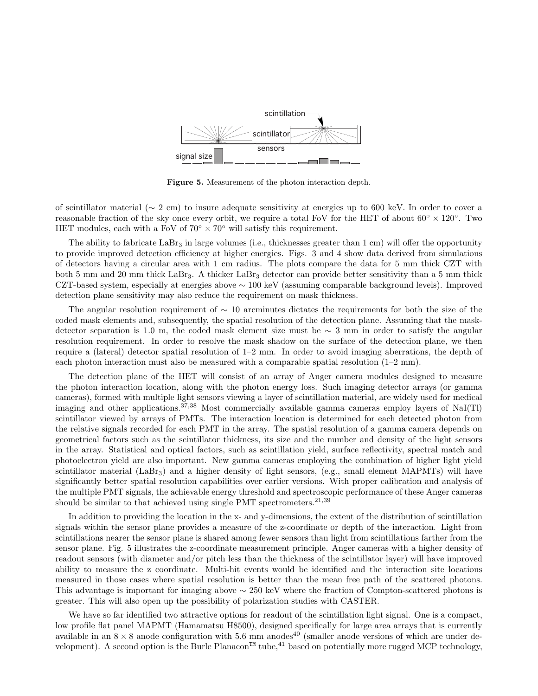

Figure 5. Measurement of the photon interaction depth.

of scintillator material (∼ 2 cm) to insure adequate sensitivity at energies up to 600 keV. In order to cover a reasonable fraction of the sky once every orbit, we require a total FoV for the HET of about  $60° \times 120°$ . Two HET modules, each with a FoV of  $70° \times 70°$  will satisfy this requirement.

The ability to fabricate  $LaBr<sub>3</sub>$  in large volumes (i.e., thicknesses greater than 1 cm) will offer the opportunity to provide improved detection efficiency at higher energies. Figs. 3 and 4 show data derived from simulations of detectors having a circular area with 1 cm radius. The plots compare the data for 5 mm thick CZT with both 5 mm and 20 mm thick LaBr<sub>3</sub>. A thicker LaBr<sub>3</sub> detector can provide better sensitivity than a 5 mm thick CZT-based system, especially at energies above ∼ 100 keV (assuming comparable background levels). Improved detection plane sensitivity may also reduce the requirement on mask thickness.

The angular resolution requirement of ∼ 10 arcminutes dictates the requirements for both the size of the coded mask elements and, subsequently, the spatial resolution of the detection plane. Assuming that the maskdetector separation is 1.0 m, the coded mask element size must be ∼ 3 mm in order to satisfy the angular resolution requirement. In order to resolve the mask shadow on the surface of the detection plane, we then require a (lateral) detector spatial resolution of 1–2 mm. In order to avoid imaging aberrations, the depth of each photon interaction must also be measured with a comparable spatial resolution  $(1-2 \text{ mm})$ .

The detection plane of the HET will consist of an array of Anger camera modules designed to measure the photon interaction location, along with the photon energy loss. Such imaging detector arrays (or gamma cameras), formed with multiple light sensors viewing a layer of scintillation material, are widely used for medical imaging and other applications.<sup>37,38</sup> Most commercially available gamma cameras employ layers of NaI(Tl) scintillator viewed by arrays of PMTs. The interaction location is determined for each detected photon from the relative signals recorded for each PMT in the array. The spatial resolution of a gamma camera depends on geometrical factors such as the scintillator thickness, its size and the number and density of the light sensors in the array. Statistical and optical factors, such as scintillation yield, surface reflectivity, spectral match and photoelectron yield are also important. New gamma cameras employing the combination of higher light yield scintillator material (LaBr<sub>3</sub>) and a higher density of light sensors, (e.g., small element MAPMTs) will have significantly better spatial resolution capabilities over earlier versions. With proper calibration and analysis of the multiple PMT signals, the achievable energy threshold and spectroscopic performance of these Anger cameras should be similar to that achieved using single PMT spectrometers. $21,39$ 

In addition to providing the location in the x- and y-dimensions, the extent of the distribution of scintillation signals within the sensor plane provides a measure of the z-coordinate or depth of the interaction. Light from scintillations nearer the sensor plane is shared among fewer sensors than light from scintillations farther from the sensor plane. Fig. 5 illustrates the z-coordinate measurement principle. Anger cameras with a higher density of readout sensors (with diameter and/or pitch less than the thickness of the scintillator layer) will have improved ability to measure the z coordinate. Multi-hit events would be identified and the interaction site locations measured in those cases where spatial resolution is better than the mean free path of the scattered photons. This advantage is important for imaging above ∼ 250 keV where the fraction of Compton-scattered photons is greater. This will also open up the possibility of polarization studies with CASTER.

We have so far identified two attractive options for readout of the scintillation light signal. One is a compact, low profile flat panel MAPMT (Hamamatsu H8500), designed specifically for large area arrays that is currently available in an  $8 \times 8$  anode configuration with 5.6 mm anodes<sup>40</sup> (smaller anode versions of which are under development). A second option is the Burle Planacon<sup>TM</sup> tube,<sup>41</sup> based on potentially more rugged MCP technology,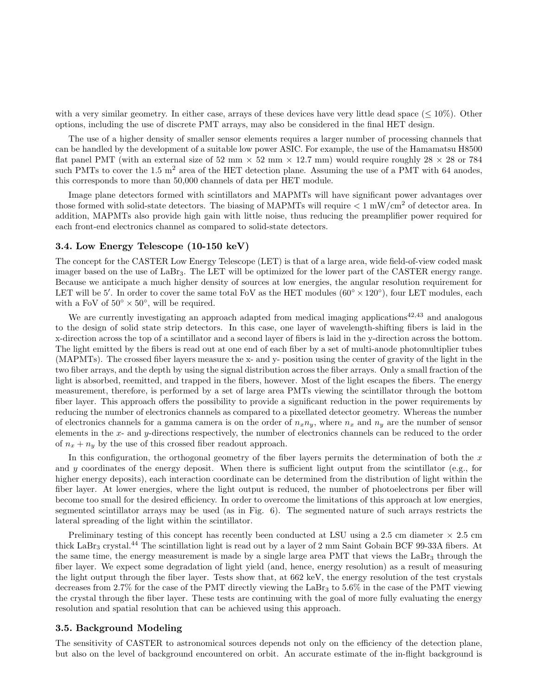with a very similar geometry. In either case, arrays of these devices have very little dead space ( $\leq 10\%$ ). Other options, including the use of discrete PMT arrays, may also be considered in the final HET design.

The use of a higher density of smaller sensor elements requires a larger number of processing channels that can be handled by the development of a suitable low power ASIC. For example, the use of the Hamamatsu H8500 flat panel PMT (with an external size of 52 mm  $\times$  52 mm  $\times$  12.7 mm) would require roughly 28  $\times$  28 or 784 such PMTs to cover the 1.5  $m<sup>2</sup>$  area of the HET detection plane. Assuming the use of a PMT with 64 anodes, this corresponds to more than 50,000 channels of data per HET module.

Image plane detectors formed with scintillators and MAPMTs will have significant power advantages over those formed with solid-state detectors. The biasing of MAPMTs will require  $\lt 1$  mW/cm<sup>2</sup> of detector area. In addition, MAPMTs also provide high gain with little noise, thus reducing the preamplifier power required for each front-end electronics channel as compared to solid-state detectors.

#### 3.4. Low Energy Telescope (10-150 keV)

The concept for the CASTER Low Energy Telescope (LET) is that of a large area, wide field-of-view coded mask imager based on the use of  $\text{LaBr}_3$ . The LET will be optimized for the lower part of the CASTER energy range. Because we anticipate a much higher density of sources at low energies, the angular resolution requirement for LET will be 5'. In order to cover the same total FoV as the HET modules  $(60° \times 120°)$ , four LET modules, each with a FoV of  $50^{\circ} \times 50^{\circ}$ , will be required.

We are currently investigating an approach adapted from medical imaging applications $42,43$  and analogous to the design of solid state strip detectors. In this case, one layer of wavelength-shifting fibers is laid in the x-direction across the top of a scintillator and a second layer of fibers is laid in the y-direction across the bottom. The light emitted by the fibers is read out at one end of each fiber by a set of multi-anode photomultiplier tubes (MAPMTs). The crossed fiber layers measure the x- and y- position using the center of gravity of the light in the two fiber arrays, and the depth by using the signal distribution across the fiber arrays. Only a small fraction of the light is absorbed, reemitted, and trapped in the fibers, however. Most of the light escapes the fibers. The energy measurement, therefore, is performed by a set of large area PMTs viewing the scintillator through the bottom fiber layer. This approach offers the possibility to provide a significant reduction in the power requirements by reducing the number of electronics channels as compared to a pixellated detector geometry. Whereas the number of electronics channels for a gamma camera is on the order of  $n_x n_y$ , where  $n_x$  and  $n_y$  are the number of sensor elements in the x- and y-directions respectively, the number of electronics channels can be reduced to the order of  $n_x + n_y$  by the use of this crossed fiber readout approach.

In this configuration, the orthogonal geometry of the fiber layers permits the determination of both the  $x$ and y coordinates of the energy deposit. When there is sufficient light output from the scintillator (e.g., for higher energy deposits), each interaction coordinate can be determined from the distribution of light within the fiber layer. At lower energies, where the light output is reduced, the number of photoelectrons per fiber will become too small for the desired efficiency. In order to overcome the limitations of this approach at low energies, segmented scintillator arrays may be used (as in Fig. 6). The segmented nature of such arrays restricts the lateral spreading of the light within the scintillator.

Preliminary testing of this concept has recently been conducted at LSU using a 2.5 cm diameter  $\times$  2.5 cm thick  $\text{LaBr}_3$  crystal.<sup>44</sup> The scintillation light is read out by a layer of 2 mm Saint Gobain BCF 99-33A fibers. At the same time, the energy measurement is made by a single large area PMT that views the  $LaBr<sub>3</sub>$  through the fiber layer. We expect some degradation of light yield (and, hence, energy resolution) as a result of measuring the light output through the fiber layer. Tests show that, at 662 keV, the energy resolution of the test crystals decreases from 2.7% for the case of the PMT directly viewing the LaBr<sup>3</sup> to 5.6% in the case of the PMT viewing the crystal through the fiber layer. These tests are continuing with the goal of more fully evaluating the energy resolution and spatial resolution that can be achieved using this approach.

#### 3.5. Background Modeling

The sensitivity of CASTER to astronomical sources depends not only on the efficiency of the detection plane, but also on the level of background encountered on orbit. An accurate estimate of the in-flight background is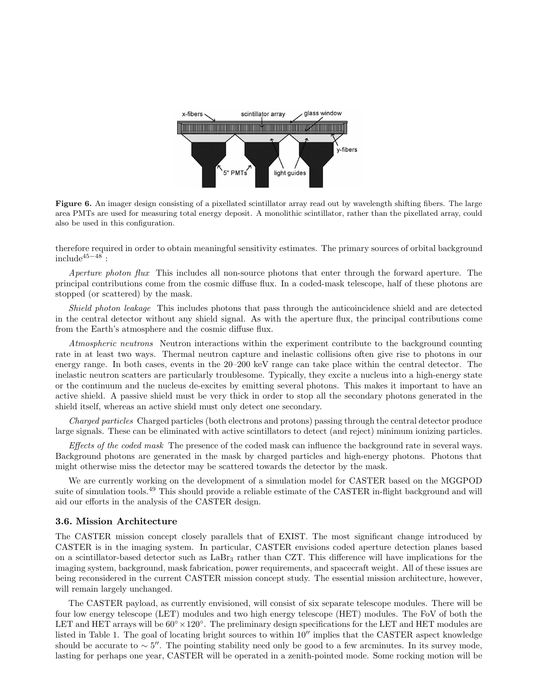

Figure 6. An imager design consisting of a pixellated scintillator array read out by wavelength shifting fibers. The large area PMTs are used for measuring total energy deposit. A monolithic scintillator, rather than the pixellated array, could also be used in this configuration.

therefore required in order to obtain meaningful sensitivity estimates. The primary sources of orbital background  $include^{45-48}$ :

Aperture photon flux This includes all non-source photons that enter through the forward aperture. The principal contributions come from the cosmic diffuse flux. In a coded-mask telescope, half of these photons are stopped (or scattered) by the mask.

Shield photon leakage This includes photons that pass through the anticoincidence shield and are detected in the central detector without any shield signal. As with the aperture flux, the principal contributions come from the Earth's atmosphere and the cosmic diffuse flux.

Atmospheric neutrons Neutron interactions within the experiment contribute to the background counting rate in at least two ways. Thermal neutron capture and inelastic collisions often give rise to photons in our energy range. In both cases, events in the  $20-200$  keV range can take place within the central detector. The inelastic neutron scatters are particularly troublesome. Typically, they excite a nucleus into a high-energy state or the continuum and the nucleus de-excites by emitting several photons. This makes it important to have an active shield. A passive shield must be very thick in order to stop all the secondary photons generated in the shield itself, whereas an active shield must only detect one secondary.

Charged particles Charged particles (both electrons and protons) passing through the central detector produce large signals. These can be eliminated with active scintillators to detect (and reject) minimum ionizing particles.

Effects of the coded mask The presence of the coded mask can influence the background rate in several ways. Background photons are generated in the mask by charged particles and high-energy photons. Photons that might otherwise miss the detector may be scattered towards the detector by the mask.

We are currently working on the development of a simulation model for CASTER based on the MGGPOD suite of simulation tools.<sup>49</sup> This should provide a reliable estimate of the CASTER in-flight background and will aid our efforts in the analysis of the CASTER design.

#### 3.6. Mission Architecture

The CASTER mission concept closely parallels that of EXIST. The most significant change introduced by CASTER is in the imaging system. In particular, CASTER envisions coded aperture detection planes based on a scintillator-based detector such as  $LaBr<sub>3</sub>$  rather than CZT. This difference will have implications for the imaging system, background, mask fabrication, power requirements, and spacecraft weight. All of these issues are being reconsidered in the current CASTER mission concept study. The essential mission architecture, however, will remain largely unchanged.

The CASTER payload, as currently envisioned, will consist of six separate telescope modules. There will be four low energy telescope (LET) modules and two high energy telescope (HET) modules. The FoV of both the LET and HET arrays will be  $60^{\circ} \times 120^{\circ}$ . The preliminary design specifications for the LET and HET modules are listed in Table 1. The goal of locating bright sources to within  $10''$  implies that the CASTER aspect knowledge should be accurate to  $\sim 5''$ . The pointing stability need only be good to a few arcminutes. In its survey mode, lasting for perhaps one year, CASTER will be operated in a zenith-pointed mode. Some rocking motion will be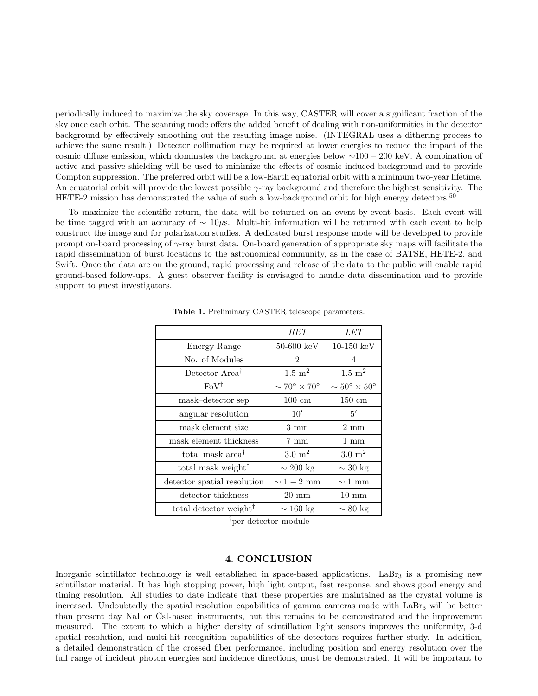periodically induced to maximize the sky coverage. In this way, CASTER will cover a significant fraction of the sky once each orbit. The scanning mode offers the added benefit of dealing with non-uniformities in the detector background by effectively smoothing out the resulting image noise. (INTEGRAL uses a dithering process to achieve the same result.) Detector collimation may be required at lower energies to reduce the impact of the cosmic diffuse emission, which dominates the background at energies below ∼100 – 200 keV. A combination of active and passive shielding will be used to minimize the effects of cosmic induced background and to provide Compton suppression. The preferred orbit will be a low-Earth equatorial orbit with a minimum two-year lifetime. An equatorial orbit will provide the lowest possible  $\gamma$ -ray background and therefore the highest sensitivity. The HETE-2 mission has demonstrated the value of such a low-background orbit for high energy detectors.<sup>50</sup>

To maximize the scientific return, the data will be returned on an event-by-event basis. Each event will be time tagged with an accuracy of  $\sim 10\mu$ s. Multi-hit information will be returned with each event to help construct the image and for polarization studies. A dedicated burst response mode will be developed to provide prompt on-board processing of  $\gamma$ -ray burst data. On-board generation of appropriate sky maps will facilitate the rapid dissemination of burst locations to the astronomical community, as in the case of BATSE, HETE-2, and Swift. Once the data are on the ground, rapid processing and release of the data to the public will enable rapid ground-based follow-ups. A guest observer facility is envisaged to handle data dissemination and to provide support to guest investigators.

|                                    | <b>HET</b>                          | LET                                 |
|------------------------------------|-------------------------------------|-------------------------------------|
| Energy Range                       | $50-600~\mathrm{keV}$               | $10-150~{\rm keV}$                  |
| No. of Modules                     | $\overline{2}$                      | 4                                   |
| Detector Area <sup>†</sup>         | $1.5 \; \mathrm{m}^2$               | $1.5 \; \mathrm{m}^2$               |
| $FoV^{\dagger}$                    | $\sim 70^{\circ} \times 70^{\circ}$ | $\sim 50^{\circ} \times 50^{\circ}$ |
| mask-detector sep                  | $100 \text{ cm}$                    | $150 \text{ cm}$                    |
| angular resolution                 | 10'                                 | $5^{\prime}$                        |
| mask element size                  | $3 \text{ mm}$                      | $2 \text{ mm}$                      |
| mask element thickness             | $7 \text{ mm}$                      | $1 \text{ mm}$                      |
| total mask area <sup>†</sup>       | $3.0 \text{ m}^2$                   | $3.0 \text{ m}^2$                   |
| total mask weight <sup>†</sup>     | $\sim 200 \text{ kg}$               | $\sim$ 30 kg                        |
| detector spatial resolution        | $\sim 1-2$ mm                       | $\sim$ 1 mm                         |
| detector thickness                 | $20 \text{ mm}$                     | $10 \text{ mm}$                     |
| total detector weight <sup>†</sup> | $\sim 160 \text{ kg}$               | $\sim 80 \text{ kg}$                |

Table 1. Preliminary CASTER telescope parameters.

†per detector module

#### 4. CONCLUSION

Inorganic scintillator technology is well established in space-based applications. La $Br_3$  is a promising new scintillator material. It has high stopping power, high light output, fast response, and shows good energy and timing resolution. All studies to date indicate that these properties are maintained as the crystal volume is increased. Undoubtedly the spatial resolution capabilities of gamma cameras made with  $LaBr<sub>3</sub>$  will be better than present day NaI or CsI-based instruments, but this remains to be demonstrated and the improvement measured. The extent to which a higher density of scintillation light sensors improves the uniformity, 3-d spatial resolution, and multi-hit recognition capabilities of the detectors requires further study. In addition, a detailed demonstration of the crossed fiber performance, including position and energy resolution over the full range of incident photon energies and incidence directions, must be demonstrated. It will be important to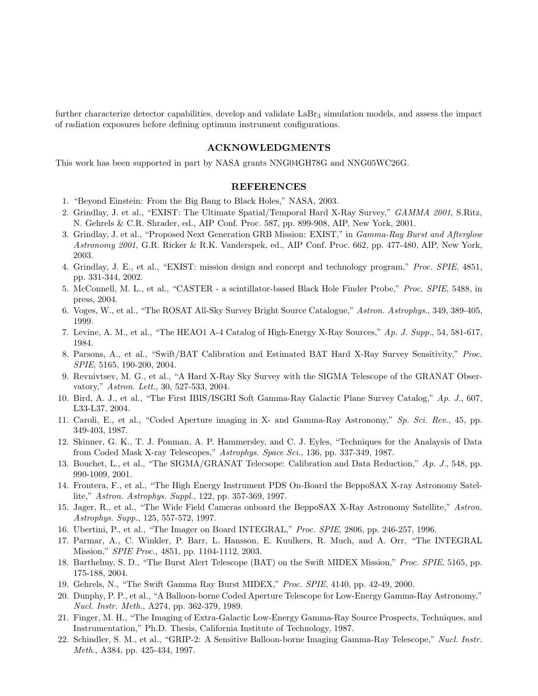further characterize detector capabilities, develop and validate LaBr<sub>3</sub> simulation models, and assess the impact of radiation exposures before defining optimum instrument configurations.

#### ACKNOWLEDGMENTS

This work has been supported in part by NASA grants NNG04GH78G and NNG05WC26G.

#### REFERENCES

- 1. "Beyond Einstein: From the Big Bang to Black Holes," NASA, 2003.
- 2. Grindlay, J. et al., "EXIST: The Ultimate Spatial/Temporal Hard X-Ray Survey," GAMMA 2001, S.Ritz, N. Gehrels & C.R. Shrader, ed., AIP Conf. Proc. 587, pp. 899-908, AIP, New York, 2001.
- 3. Grindlay, J. et al., "Proposed Next Generation GRB Mission: EXIST," in Gamma-Ray Burst and Afterglow Astronomy 2001, G.R. Ricker & R.K. Vanderspek, ed., AIP Conf. Proc. 662, pp. 477-480, AIP, New York, 2003.
- 4. Grindlay, J. E., et al., "EXIST: mission design and concept and technology program," Proc. SPIE, 4851, pp. 331-344, 2002.
- 5. McConnell, M. L., et al., "CASTER a scintillator-based Black Hole Finder Probe," Proc. SPIE, 5488, in press, 2004.
- 6. Voges, W., et al., "The ROSAT All-Sky Survey Bright Source Catalogue," Astron. Astrophys., 349, 389-405, 1999.
- 7. Levine, A. M., et al., "The HEAO1 A-4 Catalog of High-Energy X-Ray Sources," Ap. J. Supp., 54, 581-617, 1984.
- 8. Parsons, A., et al., "Swift/BAT Calibration and Estimated BAT Hard X-Ray Survey Sensitivity," Proc. SPIE, 5165, 190-200, 2004.
- 9. Revnivtsev, M. G., et al., "A Hard X-Ray Sky Survey with the SIGMA Telescope of the GRANAT Observatory," Astron. Lett., 30, 527-533, 2004.
- 10. Bird, A. J., et al., "The First IBIS/ISGRI Soft Gamma-Ray Galactic Plane Survey Catalog," Ap. J., 607, L33-L37, 2004.
- 11. Caroli, E., et al., "Coded Aperture imaging in X- and Gamma-Ray Astronomy," Sp. Sci. Rev., 45, pp. 349-403, 1987.
- 12. Skinner, G. K., T. J. Ponman, A. P. Hammersley, and C. J. Eyles, "Techniques for the Analaysis of Data from Coded Mask X-ray Telescopes," Astrophys. Space Sci., 136, pp. 337-349, 1987.
- 13. Bouchet, L., et al., "The SIGMA/GRANAT Telecsope: Calibration and Data Reduction," Ap. J., 548, pp. 990-1009, 2001.
- 14. Frontera, F., et al., "The High Energy Instrument PDS On-Board the BeppoSAX X-ray Astronomy Satellite," Astron. Astrophys. Suppl., 122, pp. 357-369, 1997.
- 15. Jager, R., et al., "The Wide Field Cameras onboard the BeppoSAX X-Ray Astronomy Satellite," Astron. Astrophys. Supp., 125, 557-572, 1997.
- 16. Ubertini, P., et al., "The Imager on Board INTEGRAL," Proc. SPIE, 2806, pp. 246-257, 1996.
- 17. Parmar, A., C. Winkler, P. Barr, L. Hansson, E. Kuulkers, R. Much, and A. Orr, "The INTEGRAL Mission," SPIE Proc., 4851, pp. 1104-1112, 2003.
- 18. Barthelmy, S. D., "The Burst Alert Telescope (BAT) on the Swift MIDEX Mission," Proc. SPIE, 5165, pp. 175-188, 2004.
- 19. Gehrels, N., "The Swift Gamma Ray Burst MIDEX," Proc. SPIE, 4140, pp. 42-49, 2000.
- 20. Dunphy, P. P., et al., "A Balloon-borne Coded Aperture Telescope for Low-Energy Gamma-Ray Astronomy," Nucl. Instr. Meth., A274, pp. 362-379, 1989.
- 21. Finger, M. H., "The Imaging of Extra-Galactic Low-Energy Gamma-Ray Source Prospects, Techniques, and Instrumentation," Ph.D. Thesis, California Institute of Technology, 1987.
- 22. Schindler, S. M., et al., "GRIP-2: A Sensitive Balloon-borne Imaging Gamma-Ray Telescope," Nucl. Instr. Meth., A384, pp. 425-434, 1997.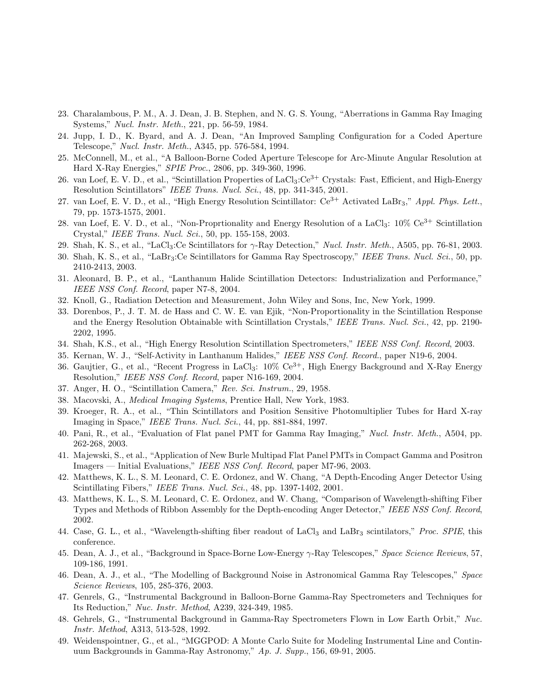- 23. Charalambous, P. M., A. J. Dean, J. B. Stephen, and N. G. S. Young, "Aberrations in Gamma Ray Imaging Systems," Nucl. Instr. Meth., 221, pp. 56-59, 1984.
- 24. Jupp, I. D., K. Byard, and A. J. Dean, "An Improved Sampling Configuration for a Coded Aperture Telescope," Nucl. Instr. Meth., A345, pp. 576-584, 1994.
- 25. McConnell, M., et al., "A Balloon-Borne Coded Aperture Telescope for Arc-Minute Angular Resolution at Hard X-Ray Energies," SPIE Proc., 2806, pp. 349-360, 1996.
- 26. van Loef, E. V. D., et al., "Scintillation Properties of LaCl<sub>3</sub>:Ce<sup>3+</sup> Crystals: Fast, Efficient, and High-Energy Resolution Scintillators" IEEE Trans. Nucl. Sci., 48, pp. 341-345, 2001.
- 27. van Loef, E. V. D., et al., "High Energy Resolution Scintillator:  $Ce^{3+}$  Activated LaBr<sub>3</sub>," Appl. Phys. Lett., 79, pp. 1573-1575, 2001.
- 28. van Loef, E. V. D., et al., "Non-Proprtionality and Energy Resolution of a LaCl3: 10% Ce3+ Scintillation Crystal," IEEE Trans. Nucl. Sci., 50, pp. 155-158, 2003.
- 29. Shah, K. S., et al., "LaCl<sub>3</sub>:Ce Scintillators for  $\gamma$ -Ray Detection," Nucl. Instr. Meth., A505, pp. 76-81, 2003.
- 30. Shah, K. S., et al., "LaBr3:Ce Scintillators for Gamma Ray Spectroscopy," IEEE Trans. Nucl. Sci., 50, pp. 2410-2413, 2003.
- 31. Aleonard, B. P., et al., "Lanthanum Halide Scintillation Detectors: Industrialization and Performance," IEEE NSS Conf. Record, paper N7-8, 2004.
- 32. Knoll, G., Radiation Detection and Measurement, John Wiley and Sons, Inc, New York, 1999.
- 33. Dorenbos, P., J. T. M. de Hass and C. W. E. van Ejik, "Non-Proportionality in the Scintillation Response and the Energy Resolution Obtainable with Scintillation Crystals," IEEE Trans. Nucl. Sci., 42, pp. 2190- 2202, 1995.
- 34. Shah, K.S., et al., "High Energy Resolution Scintillation Spectrometers," IEEE NSS Conf. Record, 2003.
- 35. Kernan, W. J., "Self-Activity in Lanthanum Halides," IEEE NSS Conf. Record., paper N19-6, 2004.
- 36. Gaujtier, G., et al., "Recent Progress in LaCl3: 10% Ce3+, High Energy Background and X-Ray Energy Resolution," IEEE NSS Conf. Record, paper N16-169, 2004.
- 37. Anger, H. O., "Scintillation Camera," Rev. Sci. Instrum., 29, 1958.
- 38. Macovski, A., Medical Imaging Systems, Prentice Hall, New York, 1983.
- 39. Kroeger, R. A., et al., "Thin Scintillators and Position Sensitive Photomultiplier Tubes for Hard X-ray Imaging in Space," IEEE Trans. Nucl. Sci., 44, pp. 881-884, 1997.
- 40. Pani, R., et al., "Evaluation of Flat panel PMT for Gamma Ray Imaging," Nucl. Instr. Meth., A504, pp. 262-268, 2003.
- 41. Majewski, S., et al., "Application of New Burle Multipad Flat Panel PMTs in Compact Gamma and Positron Imagers — Initial Evaluations," IEEE NSS Conf. Record, paper M7-96, 2003.
- 42. Matthews, K. L., S. M. Leonard, C. E. Ordonez, and W. Chang, "A Depth-Encoding Anger Detector Using Scintillating Fibers," IEEE Trans. Nucl. Sci., 48, pp. 1397-1402, 2001.
- 43. Matthews, K. L., S. M. Leonard, C. E. Ordonez, and W. Chang, "Comparison of Wavelength-shifting Fiber Types and Methods of Ribbon Assembly for the Depth-encoding Anger Detector," IEEE NSS Conf. Record, 2002.
- 44. Case, G. L., et al., "Wavelength-shifting fiber readout of LaCl<sub>3</sub> and LaBr<sub>3</sub> scintilators," Proc. SPIE, this conference.
- 45. Dean, A. J., et al., "Background in Space-Borne Low-Energy γ-Ray Telescopes," Space Science Reviews, 57, 109-186, 1991.
- 46. Dean, A. J., et al., "The Modelling of Background Noise in Astronomical Gamma Ray Telescopes," Space Science Reviews, 105, 285-376, 2003.
- 47. Genrels, G., "Instrumental Background in Balloon-Borne Gamma-Ray Spectrometers and Techniques for Its Reduction," Nuc. Instr. Method, A239, 324-349, 1985.
- 48. Gehrels, G., "Instrumental Background in Gamma-Ray Spectrometers Flown in Low Earth Orbit," Nuc. Instr. Method, A313, 513-528, 1992.
- 49. Weidenspointner, G., et al., "MGGPOD: A Monte Carlo Suite for Modeling Instrumental Line and Continuum Backgrounds in Gamma-Ray Astronomy," Ap. J. Supp., 156, 69-91, 2005.